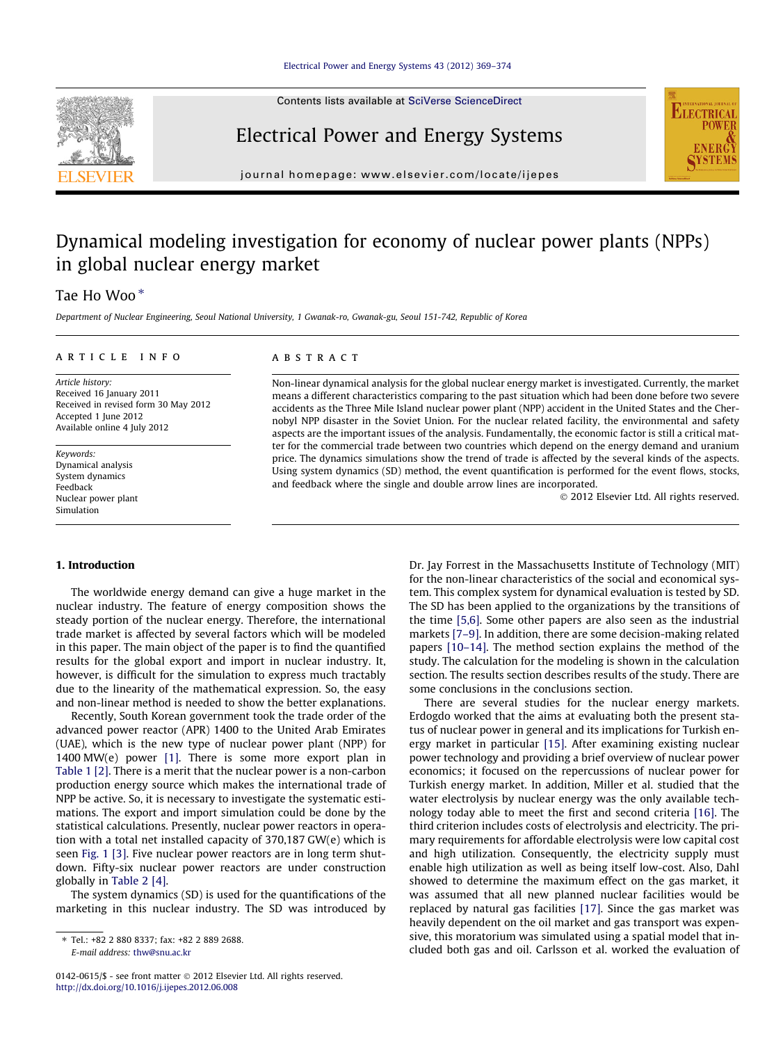Contents lists available at [SciVerse ScienceDirect](http://www.sciencedirect.com/science/journal/01420615)





journal homepage: [www.elsevier.com/locate/ijepes](http://www.elsevier.com/locate/ijepes)

Electrical Power and Energy Systems

## Dynamical modeling investigation for economy of nuclear power plants (NPPs) in global nuclear energy market

### Tae Ho Woo $*$

Department of Nuclear Engineering, Seoul National University, 1 Gwanak-ro, Gwanak-gu, Seoul 151-742, Republic of Korea

#### article info

Article history: Received 16 January 2011 Received in revised form 30 May 2012 Accepted 1 June 2012 Available online 4 July 2012

Keywords: Dynamical analysis System dynamics Feedback Nuclear power plant Simulation

#### **ABSTRACT**

Non-linear dynamical analysis for the global nuclear energy market is investigated. Currently, the market means a different characteristics comparing to the past situation which had been done before two severe accidents as the Three Mile Island nuclear power plant (NPP) accident in the United States and the Chernobyl NPP disaster in the Soviet Union. For the nuclear related facility, the environmental and safety aspects are the important issues of the analysis. Fundamentally, the economic factor is still a critical matter for the commercial trade between two countries which depend on the energy demand and uranium price. The dynamics simulations show the trend of trade is affected by the several kinds of the aspects. Using system dynamics (SD) method, the event quantification is performed for the event flows, stocks, and feedback where the single and double arrow lines are incorporated.

- 2012 Elsevier Ltd. All rights reserved.

#### 1. Introduction

The worldwide energy demand can give a huge market in the nuclear industry. The feature of energy composition shows the steady portion of the nuclear energy. Therefore, the international trade market is affected by several factors which will be modeled in this paper. The main object of the paper is to find the quantified results for the global export and import in nuclear industry. It, however, is difficult for the simulation to express much tractably due to the linearity of the mathematical expression. So, the easy and non-linear method is needed to show the better explanations.

Recently, South Korean government took the trade order of the advanced power reactor (APR) 1400 to the United Arab Emirates (UAE), which is the new type of nuclear power plant (NPP) for 1400 MW(e) power [\[1\].](#page--1-0) There is some more export plan in [Table 1](#page-1-0) [\[2\].](#page--1-0) There is a merit that the nuclear power is a non-carbon production energy source which makes the international trade of NPP be active. So, it is necessary to investigate the systematic estimations. The export and import simulation could be done by the statistical calculations. Presently, nuclear power reactors in operation with a total net installed capacity of 370,187 GW(e) which is seen [Fig. 1](#page-1-0) [\[3\]](#page--1-0). Five nuclear power reactors are in long term shutdown. Fifty-six nuclear power reactors are under construction globally in [Table 2](#page-1-0) [\[4\]](#page--1-0).

The system dynamics (SD) is used for the quantifications of the marketing in this nuclear industry. The SD was introduced by Dr. Jay Forrest in the Massachusetts Institute of Technology (MIT) for the non-linear characteristics of the social and economical system. This complex system for dynamical evaluation is tested by SD. The SD has been applied to the organizations by the transitions of the time [\[5,6\].](#page--1-0) Some other papers are also seen as the industrial markets [\[7–9\]](#page--1-0). In addition, there are some decision-making related papers [\[10–14\].](#page--1-0) The method section explains the method of the study. The calculation for the modeling is shown in the calculation section. The results section describes results of the study. There are some conclusions in the conclusions section.

There are several studies for the nuclear energy markets. Erdogdo worked that the aims at evaluating both the present status of nuclear power in general and its implications for Turkish energy market in particular [\[15\]](#page--1-0). After examining existing nuclear power technology and providing a brief overview of nuclear power economics; it focused on the repercussions of nuclear power for Turkish energy market. In addition, Miller et al. studied that the water electrolysis by nuclear energy was the only available technology today able to meet the first and second criteria [\[16\].](#page--1-0) The third criterion includes costs of electrolysis and electricity. The primary requirements for affordable electrolysis were low capital cost and high utilization. Consequently, the electricity supply must enable high utilization as well as being itself low-cost. Also, Dahl showed to determine the maximum effect on the gas market, it was assumed that all new planned nuclear facilities would be replaced by natural gas facilities [\[17\].](#page--1-0) Since the gas market was heavily dependent on the oil market and gas transport was expensive, this moratorium was simulated using a spatial model that included both gas and oil. Carlsson et al. worked the evaluation of

<sup>⇑</sup> Tel.: +82 2 880 8337; fax: +82 2 889 2688. E-mail address: [thw@snu.ac.kr](mailto:thw@snu.ac.kr)

<sup>0142-0615/\$ -</sup> see front matter © 2012 Elsevier Ltd. All rights reserved. <http://dx.doi.org/10.1016/j.ijepes.2012.06.008>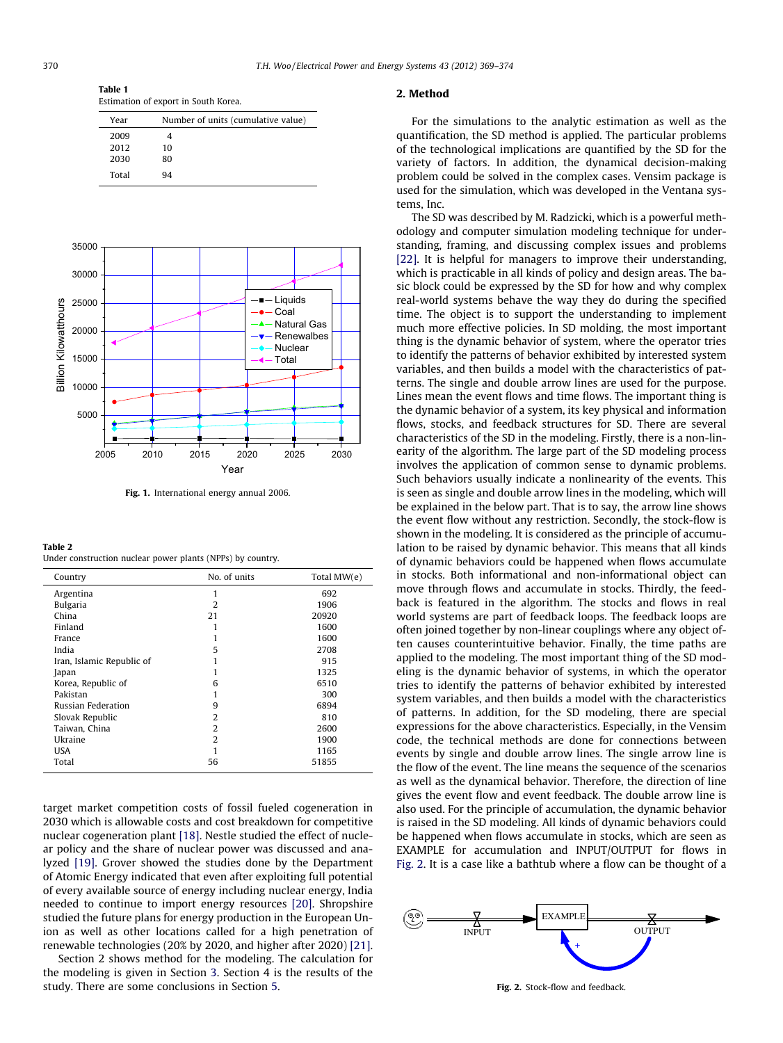<span id="page-1-0"></span>Table 1 Estimation of export in South Korea.

| Year  | Number of units (cumulative value) |  |
|-------|------------------------------------|--|
| 2009  |                                    |  |
| 2012  | 10                                 |  |
| 2030  | 80                                 |  |
| Total | 94                                 |  |



Fig. 1. International energy annual 2006.

#### Table 2

Under construction nuclear power plants (NPPs) by country.

| Country                   | No. of units | Total MW(e) |
|---------------------------|--------------|-------------|
| Argentina                 | 1            | 692         |
| <b>Bulgaria</b>           | 2            | 1906        |
| China                     | 21           | 20920       |
| Finland                   |              | 1600        |
| France                    |              | 1600        |
| India                     | 5            | 2708        |
| Iran, Islamic Republic of |              | 915         |
| Japan                     |              | 1325        |
| Korea, Republic of        | 6            | 6510        |
| Pakistan                  |              | 300         |
| <b>Russian Federation</b> | 9            | 6894        |
| Slovak Republic           | 2            | 810         |
| Taiwan, China             | 2            | 2600        |
| Ukraine                   | 2            | 1900        |
| USA                       |              | 1165        |
| Total                     | 56           | 51855       |

target market competition costs of fossil fueled cogeneration in 2030 which is allowable costs and cost breakdown for competitive nuclear cogeneration plant [\[18\].](#page--1-0) Nestle studied the effect of nuclear policy and the share of nuclear power was discussed and analyzed [\[19\]](#page--1-0). Grover showed the studies done by the Department of Atomic Energy indicated that even after exploiting full potential of every available source of energy including nuclear energy, India needed to continue to import energy resources [\[20\]](#page--1-0). Shropshire studied the future plans for energy production in the European Union as well as other locations called for a high penetration of renewable technologies (20% by 2020, and higher after 2020) [\[21\].](#page--1-0)

Section 2 shows method for the modeling. The calculation for the modeling is given in Section [3](#page--1-0). Section 4 is the results of the study. There are some conclusions in Section [5](#page--1-0).

#### 2. Method

For the simulations to the analytic estimation as well as the quantification, the SD method is applied. The particular problems of the technological implications are quantified by the SD for the variety of factors. In addition, the dynamical decision-making problem could be solved in the complex cases. Vensim package is used for the simulation, which was developed in the Ventana systems, Inc.

The SD was described by M. Radzicki, which is a powerful methodology and computer simulation modeling technique for understanding, framing, and discussing complex issues and problems [\[22\]](#page--1-0). It is helpful for managers to improve their understanding, which is practicable in all kinds of policy and design areas. The basic block could be expressed by the SD for how and why complex real-world systems behave the way they do during the specified time. The object is to support the understanding to implement much more effective policies. In SD molding, the most important thing is the dynamic behavior of system, where the operator tries to identify the patterns of behavior exhibited by interested system variables, and then builds a model with the characteristics of patterns. The single and double arrow lines are used for the purpose. Lines mean the event flows and time flows. The important thing is the dynamic behavior of a system, its key physical and information flows, stocks, and feedback structures for SD. There are several characteristics of the SD in the modeling. Firstly, there is a non-linearity of the algorithm. The large part of the SD modeling process involves the application of common sense to dynamic problems. Such behaviors usually indicate a nonlinearity of the events. This is seen as single and double arrow lines in the modeling, which will be explained in the below part. That is to say, the arrow line shows the event flow without any restriction. Secondly, the stock-flow is shown in the modeling. It is considered as the principle of accumulation to be raised by dynamic behavior. This means that all kinds of dynamic behaviors could be happened when flows accumulate in stocks. Both informational and non-informational object can move through flows and accumulate in stocks. Thirdly, the feedback is featured in the algorithm. The stocks and flows in real world systems are part of feedback loops. The feedback loops are often joined together by non-linear couplings where any object often causes counterintuitive behavior. Finally, the time paths are applied to the modeling. The most important thing of the SD modeling is the dynamic behavior of systems, in which the operator tries to identify the patterns of behavior exhibited by interested system variables, and then builds a model with the characteristics of patterns. In addition, for the SD modeling, there are special expressions for the above characteristics. Especially, in the Vensim code, the technical methods are done for connections between events by single and double arrow lines. The single arrow line is the flow of the event. The line means the sequence of the scenarios as well as the dynamical behavior. Therefore, the direction of line gives the event flow and event feedback. The double arrow line is also used. For the principle of accumulation, the dynamic behavior is raised in the SD modeling. All kinds of dynamic behaviors could be happened when flows accumulate in stocks, which are seen as EXAMPLE for accumulation and INPUT/OUTPUT for flows in Fig. 2. It is a case like a bathtub where a flow can be thought of a



Fig. 2. Stock-flow and feedback.